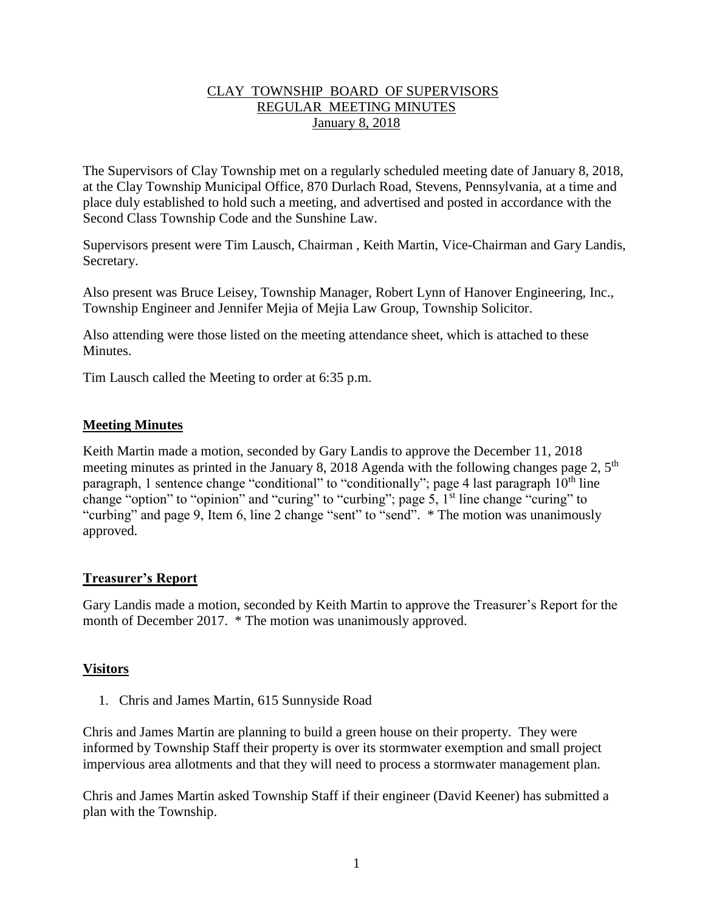## CLAY TOWNSHIP BOARD OF SUPERVISORS REGULAR MEETING MINUTES January 8, 2018

The Supervisors of Clay Township met on a regularly scheduled meeting date of January 8, 2018, at the Clay Township Municipal Office, 870 Durlach Road, Stevens, Pennsylvania, at a time and place duly established to hold such a meeting, and advertised and posted in accordance with the Second Class Township Code and the Sunshine Law.

Supervisors present were Tim Lausch, Chairman , Keith Martin, Vice-Chairman and Gary Landis, Secretary.

Also present was Bruce Leisey, Township Manager, Robert Lynn of Hanover Engineering, Inc., Township Engineer and Jennifer Mejia of Mejia Law Group, Township Solicitor.

Also attending were those listed on the meeting attendance sheet, which is attached to these **Minutes** 

Tim Lausch called the Meeting to order at 6:35 p.m.

## **Meeting Minutes**

Keith Martin made a motion, seconded by Gary Landis to approve the December 11, 2018 meeting minutes as printed in the January 8, 2018 Agenda with the following changes page 2,  $5<sup>th</sup>$ paragraph, 1 sentence change "conditional" to "conditionally"; page 4 last paragraph  $10<sup>th</sup>$  line change "option" to "opinion" and "curing" to "curbing"; page 5, 1<sup>st</sup> line change "curing" to "curbing" and page 9, Item 6, line 2 change "sent" to "send". \* The motion was unanimously approved.

## **Treasurer's Report**

Gary Landis made a motion, seconded by Keith Martin to approve the Treasurer's Report for the month of December 2017. \* The motion was unanimously approved.

## **Visitors**

1. Chris and James Martin, 615 Sunnyside Road

Chris and James Martin are planning to build a green house on their property. They were informed by Township Staff their property is over its stormwater exemption and small project impervious area allotments and that they will need to process a stormwater management plan.

Chris and James Martin asked Township Staff if their engineer (David Keener) has submitted a plan with the Township.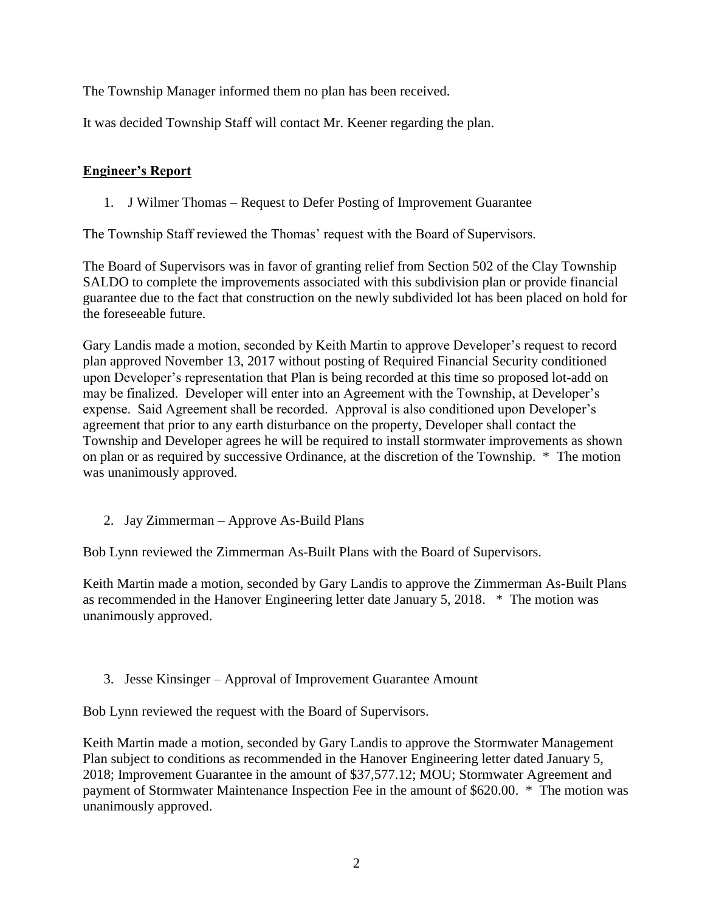The Township Manager informed them no plan has been received.

It was decided Township Staff will contact Mr. Keener regarding the plan.

## **Engineer's Report**

1. J Wilmer Thomas – Request to Defer Posting of Improvement Guarantee

The Township Staff reviewed the Thomas' request with the Board of Supervisors.

The Board of Supervisors was in favor of granting relief from Section 502 of the Clay Township SALDO to complete the improvements associated with this subdivision plan or provide financial guarantee due to the fact that construction on the newly subdivided lot has been placed on hold for the foreseeable future.

Gary Landis made a motion, seconded by Keith Martin to approve Developer's request to record plan approved November 13, 2017 without posting of Required Financial Security conditioned upon Developer's representation that Plan is being recorded at this time so proposed lot-add on may be finalized. Developer will enter into an Agreement with the Township, at Developer's expense. Said Agreement shall be recorded. Approval is also conditioned upon Developer's agreement that prior to any earth disturbance on the property, Developer shall contact the Township and Developer agrees he will be required to install stormwater improvements as shown on plan or as required by successive Ordinance, at the discretion of the Township. \* The motion was unanimously approved.

2. Jay Zimmerman – Approve As-Build Plans

Bob Lynn reviewed the Zimmerman As-Built Plans with the Board of Supervisors.

Keith Martin made a motion, seconded by Gary Landis to approve the Zimmerman As-Built Plans as recommended in the Hanover Engineering letter date January 5, 2018. \* The motion was unanimously approved.

3. Jesse Kinsinger – Approval of Improvement Guarantee Amount

Bob Lynn reviewed the request with the Board of Supervisors.

Keith Martin made a motion, seconded by Gary Landis to approve the Stormwater Management Plan subject to conditions as recommended in the Hanover Engineering letter dated January 5, 2018; Improvement Guarantee in the amount of \$37,577.12; MOU; Stormwater Agreement and payment of Stormwater Maintenance Inspection Fee in the amount of \$620.00. \* The motion was unanimously approved.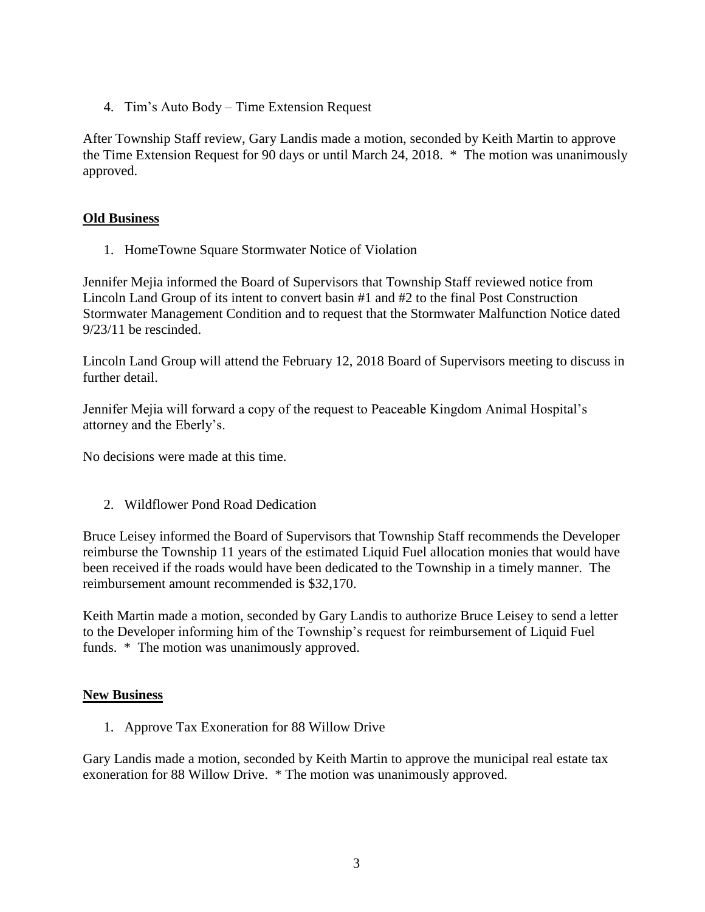4. Tim's Auto Body – Time Extension Request

After Township Staff review, Gary Landis made a motion, seconded by Keith Martin to approve the Time Extension Request for 90 days or until March 24, 2018. \* The motion was unanimously approved.

## **Old Business**

1. HomeTowne Square Stormwater Notice of Violation

Jennifer Mejia informed the Board of Supervisors that Township Staff reviewed notice from Lincoln Land Group of its intent to convert basin #1 and #2 to the final Post Construction Stormwater Management Condition and to request that the Stormwater Malfunction Notice dated 9/23/11 be rescinded.

Lincoln Land Group will attend the February 12, 2018 Board of Supervisors meeting to discuss in further detail.

Jennifer Mejia will forward a copy of the request to Peaceable Kingdom Animal Hospital's attorney and the Eberly's.

No decisions were made at this time.

2. Wildflower Pond Road Dedication

Bruce Leisey informed the Board of Supervisors that Township Staff recommends the Developer reimburse the Township 11 years of the estimated Liquid Fuel allocation monies that would have been received if the roads would have been dedicated to the Township in a timely manner. The reimbursement amount recommended is \$32,170.

Keith Martin made a motion, seconded by Gary Landis to authorize Bruce Leisey to send a letter to the Developer informing him of the Township's request for reimbursement of Liquid Fuel funds. \* The motion was unanimously approved.

#### **New Business**

1. Approve Tax Exoneration for 88 Willow Drive

Gary Landis made a motion, seconded by Keith Martin to approve the municipal real estate tax exoneration for 88 Willow Drive. \* The motion was unanimously approved.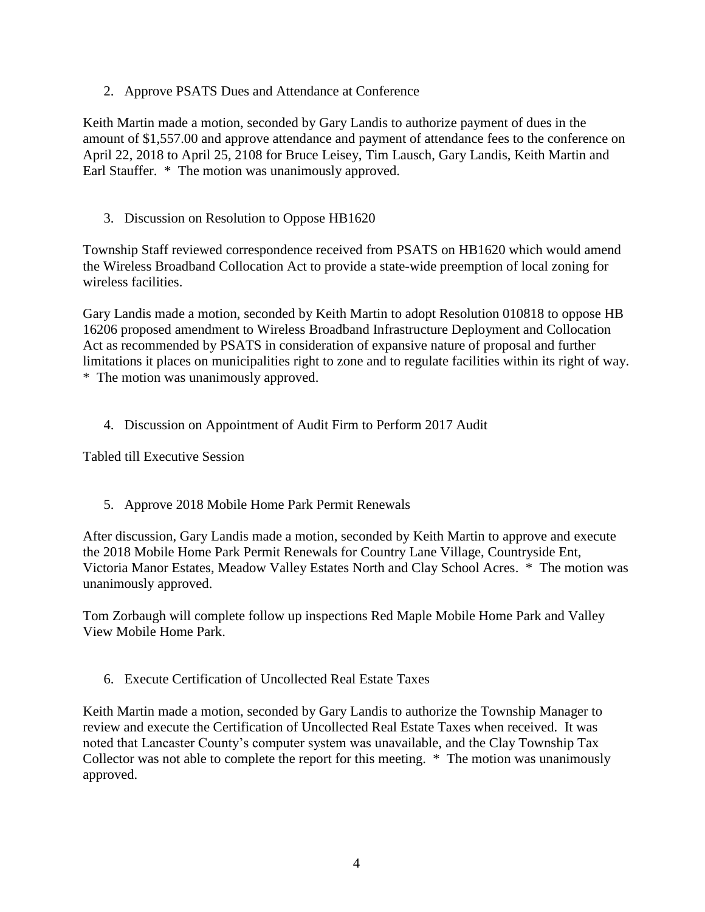2. Approve PSATS Dues and Attendance at Conference

Keith Martin made a motion, seconded by Gary Landis to authorize payment of dues in the amount of \$1,557.00 and approve attendance and payment of attendance fees to the conference on April 22, 2018 to April 25, 2108 for Bruce Leisey, Tim Lausch, Gary Landis, Keith Martin and Earl Stauffer. \* The motion was unanimously approved.

3. Discussion on Resolution to Oppose HB1620

Township Staff reviewed correspondence received from PSATS on HB1620 which would amend the Wireless Broadband Collocation Act to provide a state-wide preemption of local zoning for wireless facilities.

Gary Landis made a motion, seconded by Keith Martin to adopt Resolution 010818 to oppose HB 16206 proposed amendment to Wireless Broadband Infrastructure Deployment and Collocation Act as recommended by PSATS in consideration of expansive nature of proposal and further limitations it places on municipalities right to zone and to regulate facilities within its right of way. \* The motion was unanimously approved.

4. Discussion on Appointment of Audit Firm to Perform 2017 Audit

Tabled till Executive Session

5. Approve 2018 Mobile Home Park Permit Renewals

After discussion, Gary Landis made a motion, seconded by Keith Martin to approve and execute the 2018 Mobile Home Park Permit Renewals for Country Lane Village, Countryside Ent, Victoria Manor Estates, Meadow Valley Estates North and Clay School Acres. \* The motion was unanimously approved.

Tom Zorbaugh will complete follow up inspections Red Maple Mobile Home Park and Valley View Mobile Home Park.

6. Execute Certification of Uncollected Real Estate Taxes

Keith Martin made a motion, seconded by Gary Landis to authorize the Township Manager to review and execute the Certification of Uncollected Real Estate Taxes when received. It was noted that Lancaster County's computer system was unavailable, and the Clay Township Tax Collector was not able to complete the report for this meeting. \* The motion was unanimously approved.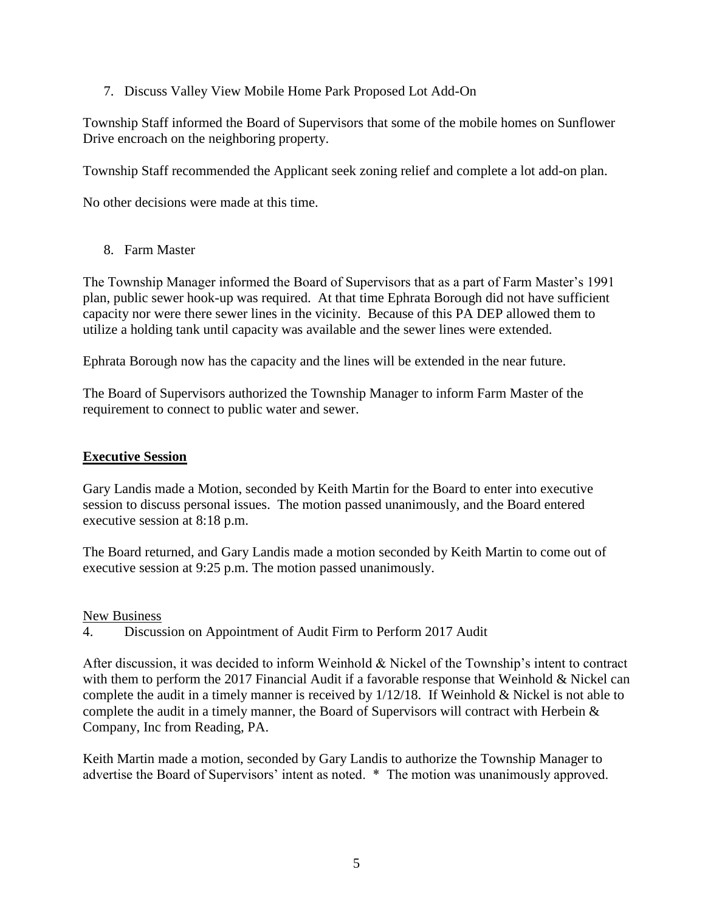7. Discuss Valley View Mobile Home Park Proposed Lot Add-On

Township Staff informed the Board of Supervisors that some of the mobile homes on Sunflower Drive encroach on the neighboring property.

Township Staff recommended the Applicant seek zoning relief and complete a lot add-on plan.

No other decisions were made at this time.

8. Farm Master

The Township Manager informed the Board of Supervisors that as a part of Farm Master's 1991 plan, public sewer hook-up was required. At that time Ephrata Borough did not have sufficient capacity nor were there sewer lines in the vicinity. Because of this PA DEP allowed them to utilize a holding tank until capacity was available and the sewer lines were extended.

Ephrata Borough now has the capacity and the lines will be extended in the near future.

The Board of Supervisors authorized the Township Manager to inform Farm Master of the requirement to connect to public water and sewer.

## **Executive Session**

Gary Landis made a Motion, seconded by Keith Martin for the Board to enter into executive session to discuss personal issues. The motion passed unanimously, and the Board entered executive session at 8:18 p.m.

The Board returned, and Gary Landis made a motion seconded by Keith Martin to come out of executive session at 9:25 p.m. The motion passed unanimously.

#### New Business

4. Discussion on Appointment of Audit Firm to Perform 2017 Audit

After discussion, it was decided to inform Weinhold & Nickel of the Township's intent to contract with them to perform the 2017 Financial Audit if a favorable response that Weinhold & Nickel can complete the audit in a timely manner is received by 1/12/18. If Weinhold & Nickel is not able to complete the audit in a timely manner, the Board of Supervisors will contract with Herbein & Company, Inc from Reading, PA.

Keith Martin made a motion, seconded by Gary Landis to authorize the Township Manager to advertise the Board of Supervisors' intent as noted. \* The motion was unanimously approved.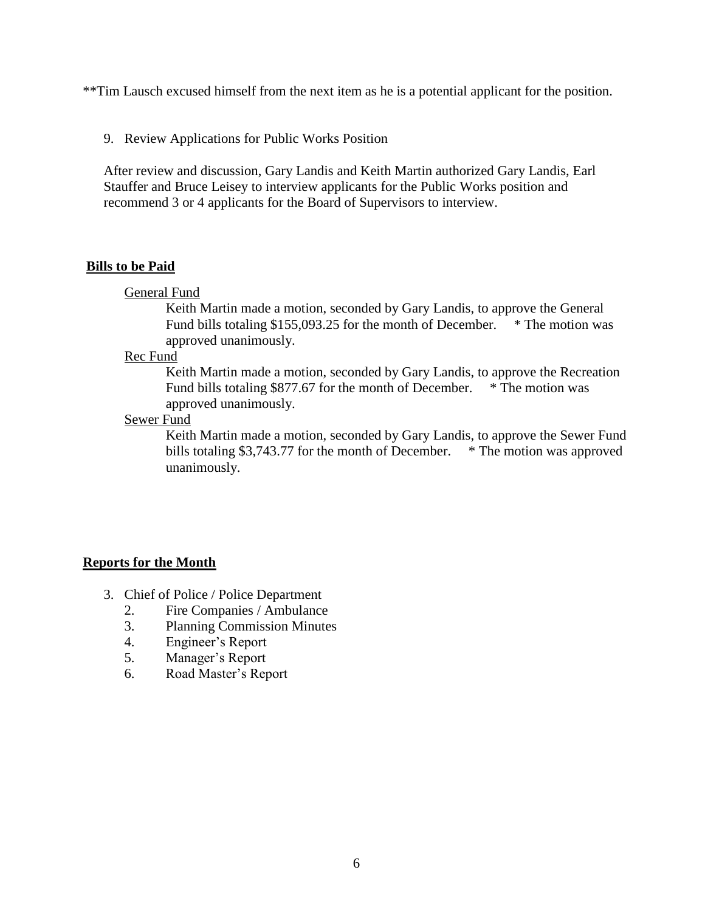\*\*Tim Lausch excused himself from the next item as he is a potential applicant for the position.

9. Review Applications for Public Works Position

After review and discussion, Gary Landis and Keith Martin authorized Gary Landis, Earl Stauffer and Bruce Leisey to interview applicants for the Public Works position and recommend 3 or 4 applicants for the Board of Supervisors to interview.

#### **Bills to be Paid**

General Fund

Keith Martin made a motion, seconded by Gary Landis, to approve the General Fund bills totaling \$155,093.25 for the month of December. \* The motion was approved unanimously.

Rec Fund

Keith Martin made a motion, seconded by Gary Landis, to approve the Recreation Fund bills totaling \$877.67 for the month of December. \* The motion was approved unanimously.

#### Sewer Fund

Keith Martin made a motion, seconded by Gary Landis, to approve the Sewer Fund bills totaling \$3,743.77 for the month of December. \* The motion was approved unanimously.

#### **Reports for the Month**

- 3. Chief of Police / Police Department
	- 2. Fire Companies / Ambulance
	- 3. Planning Commission Minutes
	- 4. Engineer's Report
	- 5. Manager's Report
	- 6. Road Master's Report